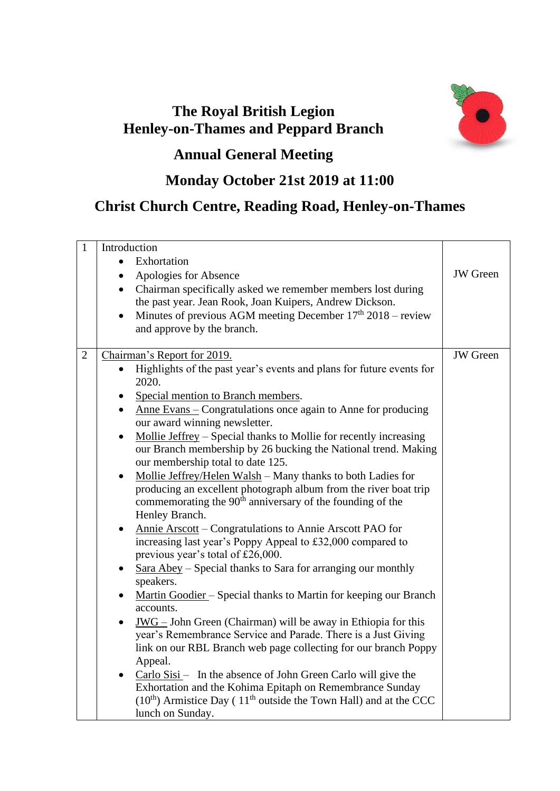## **The Royal British Legion Henley-on-Thames and Peppard Branch**



## **Annual General Meeting**

## **Monday October 21st 2019 at 11:00**

## **Christ Church Centre, Reading Road, Henley-on-Thames**

| $\mathbf{1}$   | Introduction                                                                                                                                      |                 |
|----------------|---------------------------------------------------------------------------------------------------------------------------------------------------|-----------------|
|                | Exhortation<br>$\bullet$                                                                                                                          |                 |
|                | Apologies for Absence<br>$\bullet$                                                                                                                | <b>JW</b> Green |
|                | Chairman specifically asked we remember members lost during<br>$\bullet$                                                                          |                 |
|                | the past year. Jean Rook, Joan Kuipers, Andrew Dickson.                                                                                           |                 |
|                | Minutes of previous AGM meeting December $17th 2018$ – review                                                                                     |                 |
|                | and approve by the branch.                                                                                                                        |                 |
| $\overline{2}$ | Chairman's Report for 2019.                                                                                                                       | <b>JW</b> Green |
|                | Highlights of the past year's events and plans for future events for<br>2020.                                                                     |                 |
|                | Special mention to Branch members.<br>$\bullet$                                                                                                   |                 |
|                | Anne Evans – Congratulations once again to Anne for producing<br>$\bullet$<br>our award winning newsletter.                                       |                 |
|                | Mollie Jeffrey - Special thanks to Mollie for recently increasing<br>$\bullet$                                                                    |                 |
|                | our Branch membership by 26 bucking the National trend. Making<br>our membership total to date 125.                                               |                 |
|                | Mollie Jeffrey/Helen Walsh - Many thanks to both Ladies for<br>$\bullet$                                                                          |                 |
|                | producing an excellent photograph album from the river boat trip<br>commemorating the $90th$ anniversary of the founding of the<br>Henley Branch. |                 |
|                | Annie Arscott – Congratulations to Annie Arscott PAO for<br>$\bullet$                                                                             |                 |
|                | increasing last year's Poppy Appeal to £32,000 compared to<br>previous year's total of £26,000.                                                   |                 |
|                | Sara Abey – Special thanks to Sara for arranging our monthly<br>$\bullet$                                                                         |                 |
|                | speakers.                                                                                                                                         |                 |
|                | Martin Goodier - Special thanks to Martin for keeping our Branch<br>accounts.                                                                     |                 |
|                | $JWG - John Green (Chairman)$ will be away in Ethiopia for this<br>$\bullet$                                                                      |                 |
|                | year's Remembrance Service and Parade. There is a Just Giving                                                                                     |                 |
|                | link on our RBL Branch web page collecting for our branch Poppy                                                                                   |                 |
|                | Appeal.                                                                                                                                           |                 |
|                | $\frac{Carlo Sisi - }{h}$ In the absence of John Green Carlo will give the<br>$\bullet$                                                           |                 |
|                | Exhortation and the Kohima Epitaph on Remembrance Sunday                                                                                          |                 |
|                | $(10th)$ Armistice Day (11 <sup>th</sup> outside the Town Hall) and at the CCC                                                                    |                 |
|                | lunch on Sunday.                                                                                                                                  |                 |